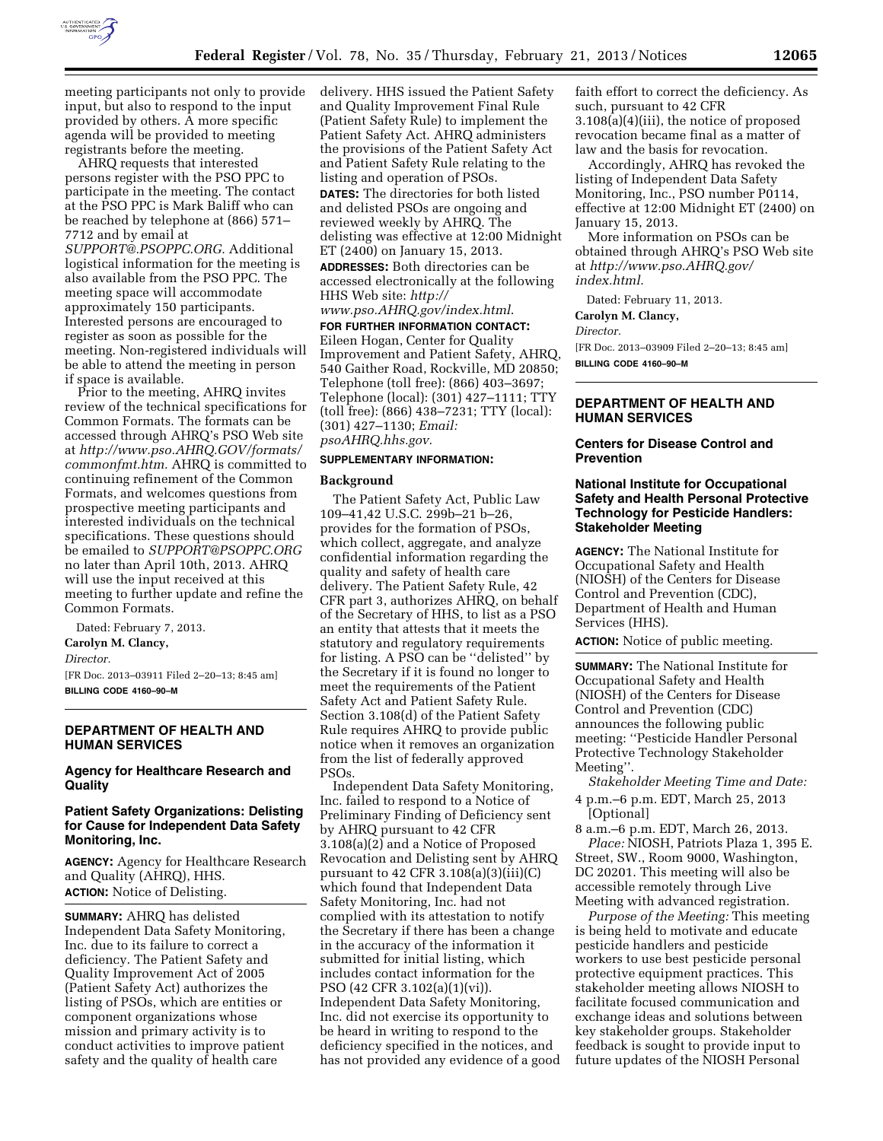

meeting participants not only to provide input, but also to respond to the input provided by others. A more specific agenda will be provided to meeting registrants before the meeting.

AHRQ requests that interested persons register with the PSO PPC to participate in the meeting. The contact at the PSO PPC is Mark Baliff who can be reached by telephone at (866) 571– 7712 and by email at

*[SUPPORT@.PSOPPC.ORG.](mailto:SUPPORT@.PSOPPC.ORG)* Additional logistical information for the meeting is also available from the PSO PPC. The meeting space will accommodate approximately 150 participants. Interested persons are encouraged to register as soon as possible for the meeting. Non-registered individuals will be able to attend the meeting in person if space is available.

Prior to the meeting, AHRQ invites review of the technical specifications for Common Formats. The formats can be accessed through AHRQ's PSO Web site at *[http://www.pso.AHRQ.GOV/formats/](http://www.pso.AHRQ.GOV/formats/commonfmt.htm) [commonfmt.htm.](http://www.pso.AHRQ.GOV/formats/commonfmt.htm)* AHRQ is committed to continuing refinement of the Common Formats, and welcomes questions from prospective meeting participants and interested individuals on the technical specifications. These questions should be emailed to *[SUPPORT@PSOPPC.ORG](mailto:SUPPORT@PSOPPC.ORG)*  no later than April 10th, 2013. AHRQ will use the input received at this meeting to further update and refine the Common Formats.

Dated: February 7, 2013.

**Carolyn M. Clancy,** 

*Director.* 

[FR Doc. 2013–03911 Filed 2–20–13; 8:45 am] **BILLING CODE 4160–90–M** 

# **DEPARTMENT OF HEALTH AND HUMAN SERVICES**

**Agency for Healthcare Research and Quality** 

### **Patient Safety Organizations: Delisting for Cause for Independent Data Safety Monitoring, Inc.**

**AGENCY:** Agency for Healthcare Research and Quality (AHRQ), HHS. **ACTION:** Notice of Delisting.

**SUMMARY:** AHRQ has delisted Independent Data Safety Monitoring, Inc. due to its failure to correct a deficiency. The Patient Safety and Quality Improvement Act of 2005 (Patient Safety Act) authorizes the listing of PSOs, which are entities or component organizations whose mission and primary activity is to conduct activities to improve patient safety and the quality of health care

delivery. HHS issued the Patient Safety and Quality Improvement Final Rule (Patient Safety Rule) to implement the Patient Safety Act. AHRQ administers the provisions of the Patient Safety Act and Patient Safety Rule relating to the listing and operation of PSOs. **DATES:** The directories for both listed and delisted PSOs are ongoing and reviewed weekly by AHRQ. The delisting was effective at 12:00 Midnight ET (2400) on January 15, 2013. **ADDRESSES:** Both directories can be accessed electronically at the following HHS Web site: *[http://](http://www.pso.AHRQ.gov/index.html)  [www.pso.AHRQ.gov/index.html](http://www.pso.AHRQ.gov/index.html)*.

**FOR FURTHER INFORMATION CONTACT:**  Eileen Hogan, Center for Quality Improvement and Patient Safety, AHRQ, 540 Gaither Road, Rockville, MD 20850; Telephone (toll free): (866) 403–3697; Telephone (local): (301) 427–1111; TTY (toll free): (866) 438–7231; TTY (local): (301) 427–1130; *Email: psoAHRQ.hhs.gov.* 

#### **SUPPLEMENTARY INFORMATION:**

#### **Background**

The Patient Safety Act, Public Law 109–41,42 U.S.C. 299b–21 b–26, provides for the formation of PSOs, which collect, aggregate, and analyze confidential information regarding the quality and safety of health care delivery. The Patient Safety Rule, 42 CFR part 3, authorizes AHRQ, on behalf of the Secretary of HHS, to list as a PSO an entity that attests that it meets the statutory and regulatory requirements for listing. A PSO can be ''delisted'' by the Secretary if it is found no longer to meet the requirements of the Patient Safety Act and Patient Safety Rule. Section 3.108(d) of the Patient Safety Rule requires AHRQ to provide public notice when it removes an organization from the list of federally approved PSOs.

Independent Data Safety Monitoring, Inc. failed to respond to a Notice of Preliminary Finding of Deficiency sent by AHRQ pursuant to 42 CFR 3.108(a)(2) and a Notice of Proposed Revocation and Delisting sent by AHRQ pursuant to 42 CFR  $3.108(a)(3)(iii)(C)$ which found that Independent Data Safety Monitoring, Inc. had not complied with its attestation to notify the Secretary if there has been a change in the accuracy of the information it submitted for initial listing, which includes contact information for the PSO (42 CFR 3.102(a)(1)(vi)). Independent Data Safety Monitoring, Inc. did not exercise its opportunity to be heard in writing to respond to the deficiency specified in the notices, and has not provided any evidence of a good

faith effort to correct the deficiency. As such, pursuant to 42 CFR 3.108(a)(4)(iii), the notice of proposed revocation became final as a matter of law and the basis for revocation.

Accordingly, AHRQ has revoked the listing of Independent Data Safety Monitoring, Inc., PSO number P0114, effective at 12:00 Midnight ET (2400) on January 15, 2013.

More information on PSOs can be obtained through AHRQ's PSO Web site at *[http://www.pso.AHRQ.gov/](http://www.pso.AHRQ.gov/index.html) [index.html.](http://www.pso.AHRQ.gov/index.html)* 

Dated: February 11, 2013.

**Carolyn M. Clancy,** 

*Director.* 

[FR Doc. 2013–03909 Filed 2–20–13; 8:45 am] **BILLING CODE 4160–90–M** 

# **DEPARTMENT OF HEALTH AND HUMAN SERVICES**

### **Centers for Disease Control and Prevention**

## **National Institute for Occupational Safety and Health Personal Protective Technology for Pesticide Handlers: Stakeholder Meeting**

**AGENCY:** The National Institute for Occupational Safety and Health (NIOSH) of the Centers for Disease Control and Prevention (CDC), Department of Health and Human Services (HHS).

**ACTION:** Notice of public meeting.

**SUMMARY:** The National Institute for Occupational Safety and Health (NIOSH) of the Centers for Disease Control and Prevention (CDC) announces the following public meeting: ''Pesticide Handler Personal Protective Technology Stakeholder Meeting''.

*Stakeholder Meeting Time and Date:*  4 p.m.–6 p.m. EDT, March 25, 2013 [Optional]

8 a.m.–6 p.m. EDT, March 26, 2013. *Place:* NIOSH, Patriots Plaza 1, 395 E. Street, SW., Room 9000, Washington, DC 20201. This meeting will also be accessible remotely through Live Meeting with advanced registration.

*Purpose of the Meeting:* This meeting is being held to motivate and educate pesticide handlers and pesticide workers to use best pesticide personal protective equipment practices. This stakeholder meeting allows NIOSH to facilitate focused communication and exchange ideas and solutions between key stakeholder groups. Stakeholder feedback is sought to provide input to future updates of the NIOSH Personal